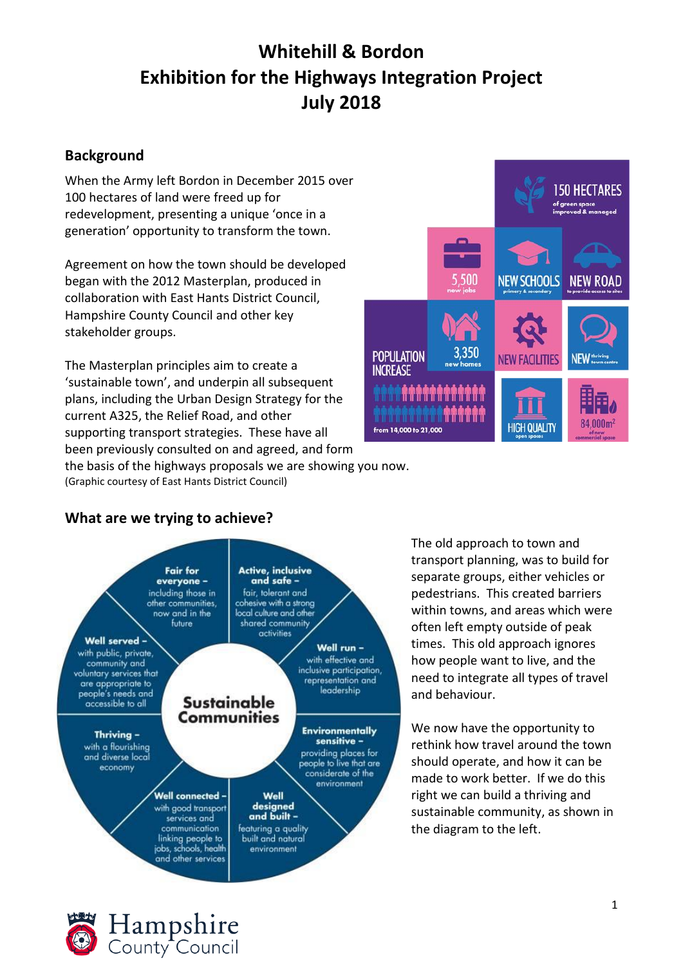# **Whitehill & Bordon Exhibition for the Highways Integration Project July 2018**

## **Background**

When the Army left Bordon in December 2015 over 100 hectares of land were freed up for redevelopment, presenting a unique 'once in a generation' opportunity to transform the town.

Agreement on how the town should be developed began with the 2012 Masterplan, produced in collaboration with East Hants District Council, Hampshire County Council and other key stakeholder groups.

The Masterplan principles aim to create a 'sustainable town', and underpin all subsequent plans, including the Urban Design Strategy for the current A325, the Relief Road, and other supporting transport strategies. These have all been previously consulted on and agreed, and form



the basis of the highways proposals we are showing you now. (Graphic courtesy of East Hants District Council)

# **What are we trying to achieve?**



The old approach to town and transport planning, was to build for separate groups, either vehicles or pedestrians. This created barriers within towns, and areas which were often left empty outside of peak times. This old approach ignores how people want to live, and the need to integrate all types of travel and behaviour.

We now have the opportunity to rethink how travel around the town should operate, and how it can be made to work better. If we do this right we can build a thriving and sustainable community, as shown in the diagram to the left.

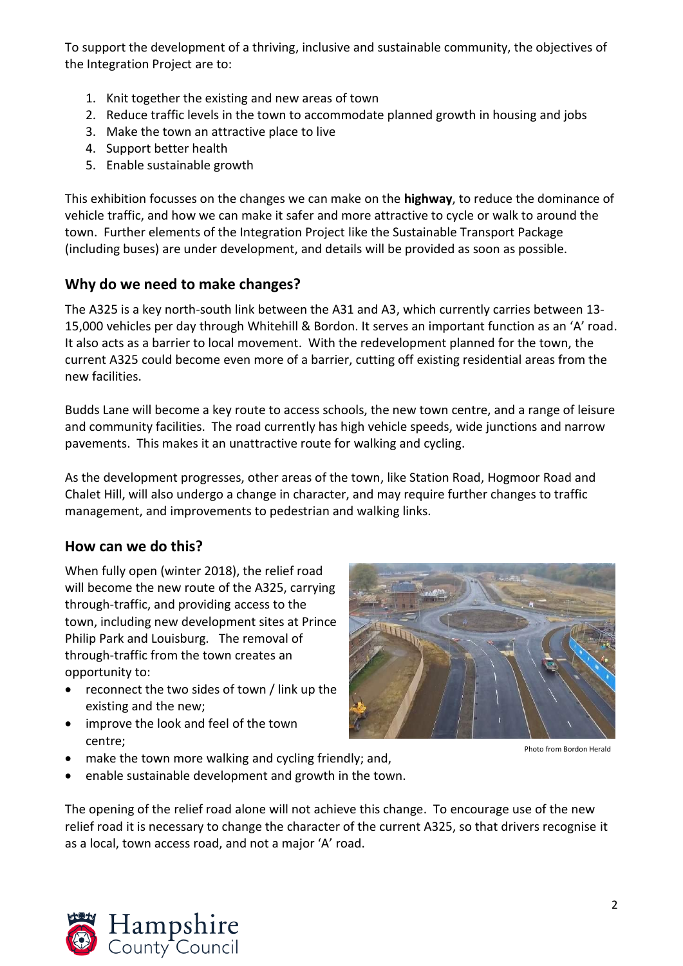To support the development of a thriving, inclusive and sustainable community, the objectives of the Integration Project are to:

- 1. Knit together the existing and new areas of town
- 2. Reduce traffic levels in the town to accommodate planned growth in housing and jobs
- 3. Make the town an attractive place to live
- 4. Support better health
- 5. Enable sustainable growth

This exhibition focusses on the changes we can make on the **highway**, to reduce the dominance of vehicle traffic, and how we can make it safer and more attractive to cycle or walk to around the town. Further elements of the Integration Project like the Sustainable Transport Package (including buses) are under development, and details will be provided as soon as possible.

### **Why do we need to make changes?**

The A325 is a key north-south link between the A31 and A3, which currently carries between 13- 15,000 vehicles per day through Whitehill & Bordon. It serves an important function as an 'A' road. It also acts as a barrier to local movement. With the redevelopment planned for the town, the current A325 could become even more of a barrier, cutting off existing residential areas from the new facilities.

Budds Lane will become a key route to access schools, the new town centre, and a range of leisure and community facilities. The road currently has high vehicle speeds, wide junctions and narrow pavements. This makes it an unattractive route for walking and cycling.

As the development progresses, other areas of the town, like Station Road, Hogmoor Road and Chalet Hill, will also undergo a change in character, and may require further changes to traffic management, and improvements to pedestrian and walking links.

#### **How can we do this?**

When fully open (winter 2018), the relief road will become the new route of the A325, carrying through-traffic, and providing access to the town, including new development sites at Prince Philip Park and Louisburg. The removal of through-traffic from the town creates an opportunity to:

- reconnect the two sides of town / link up the existing and the new;
- improve the look and feel of the town centre;
- make the town more walking and cycling friendly; and,
- enable sustainable development and growth in the town.







Photo from Bordon Herald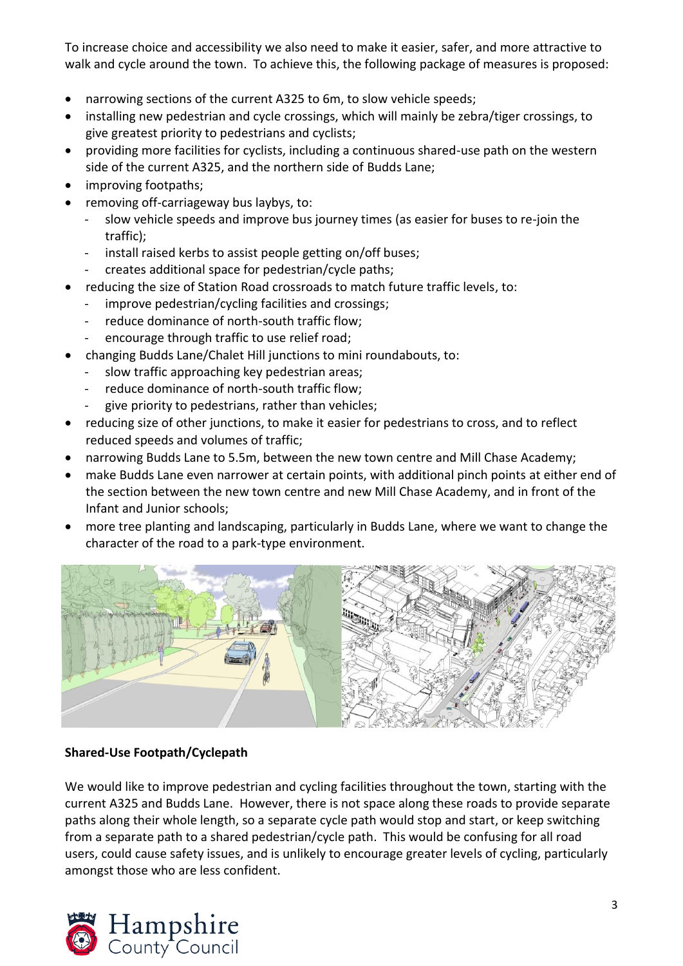To increase choice and accessibility we also need to make it easier, safer, and more attractive to walk and cycle around the town. To achieve this, the following package of measures is proposed:

- narrowing sections of the current A325 to 6m, to slow vehicle speeds;
- installing new pedestrian and cycle crossings, which will mainly be zebra/tiger crossings, to give greatest priority to pedestrians and cyclists;
- providing more facilities for cyclists, including a continuous shared-use path on the western side of the current A325, and the northern side of Budds Lane;
- improving footpaths;
- removing off-carriageway bus laybys, to:
	- slow vehicle speeds and improve bus journey times (as easier for buses to re-join the traffic);
	- install raised kerbs to assist people getting on/off buses;
	- creates additional space for pedestrian/cycle paths;
- reducing the size of Station Road crossroads to match future traffic levels, to:
	- improve pedestrian/cycling facilities and crossings;
	- reduce dominance of north-south traffic flow;
	- encourage through traffic to use relief road;
- changing Budds Lane/Chalet Hill junctions to mini roundabouts, to:
	- slow traffic approaching key pedestrian areas;
	- reduce dominance of north-south traffic flow;
	- give priority to pedestrians, rather than vehicles;
- reducing size of other junctions, to make it easier for pedestrians to cross, and to reflect reduced speeds and volumes of traffic;
- narrowing Budds Lane to 5.5m, between the new town centre and Mill Chase Academy;
- make Budds Lane even narrower at certain points, with additional pinch points at either end of the section between the new town centre and new Mill Chase Academy, and in front of the Infant and Junior schools;
- more tree planting and landscaping, particularly in Budds Lane, where we want to change the character of the road to a park-type environment.



#### **Shared-Use Footpath/Cyclepath**

We would like to improve pedestrian and cycling facilities throughout the town, starting with the current A325 and Budds Lane. However, there is not space along these roads to provide separate paths along their whole length, so a separate cycle path would stop and start, or keep switching from a separate path to a shared pedestrian/cycle path. This would be confusing for all road users, could cause safety issues, and is unlikely to encourage greater levels of cycling, particularly amongst those who are less confident.